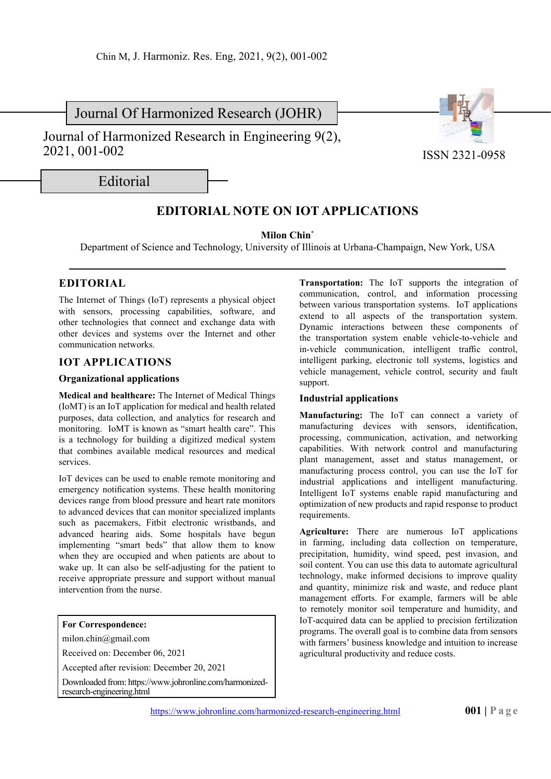Journal Of Harmonized Research (JOHR)

Journal of Harmonized Research in Engineering 9(2), 2021, 001-002



Editorial

# **EDITORIAL NOTE ON IOT APPLICATIONS**

**Milon Chin\***

Department of Science and Technology, University of Illinois at Urbana-Champaign, New York, USA

# **EDITORIAL**

The Internet of Things (IoT) represents a physical object with sensors, processing capabilities, software, and other technologies that connect and exchange data with other devices and systems over the Internet and other communication networks.

# **IOT APPLICATIONS**

### **Organizational applications**

**Medical and healthcare:** The Internet of Medical Things (IoMT) is an IoT application for medical and health related purposes, data collection, and analytics for research and monitoring. IoMT is known as "smart health care". This is a technology for building a digitized medical system that combines available medical resources and medical services.

IoT devices can be used to enable remote monitoring and emergency notification systems. These health monitoring devices range from blood pressure and heart rate monitors to advanced devices that can monitor specialized implants such as pacemakers, Fitbit electronic wristbands, and advanced hearing aids. Some hospitals have begun implementing "smart beds" that allow them to know when they are occupied and when patients are about to wake up. It can also be self-adjusting for the patient to receive appropriate pressure and support without manual intervention from the nurse.

#### **For Correspondence:**

milon.chin@gmail.com

Received on: December 06, 2021

Accepted after revision: December 20, 2021

Downloaded from: https://www.johronline.com/harmonizedresearch-engineering.html

**Transportation:** The IoT supports the integration of communication, control, and information processing between various transportation systems. IoT applications extend to all aspects of the transportation system. Dynamic interactions between these components of the transportation system enable vehicle-to-vehicle and in-vehicle communication, intelligent traffic control, intelligent parking, electronic toll systems, logistics and vehicle management, vehicle control, security and fault support.

### **Industrial applications**

**Manufacturing:** The IoT can connect a variety of manufacturing devices with sensors, identification, processing, communication, activation, and networking capabilities. With network control and manufacturing plant management, asset and status management, or manufacturing process control, you can use the IoT for industrial applications and intelligent manufacturing. Intelligent IoT systems enable rapid manufacturing and optimization of new products and rapid response to product requirements.

**Agriculture:** There are numerous IoT applications in farming, including data collection on temperature, precipitation, humidity, wind speed, pest invasion, and soil content. You can use this data to automate agricultural technology, make informed decisions to improve quality and quantity, minimize risk and waste, and reduce plant management efforts. For example, farmers will be able to remotely monitor soil temperature and humidity, and IoT-acquired data can be applied to precision fertilization programs. The overall goal is to combine data from sensors with farmers' business knowledge and intuition to increase agricultural productivity and reduce costs.